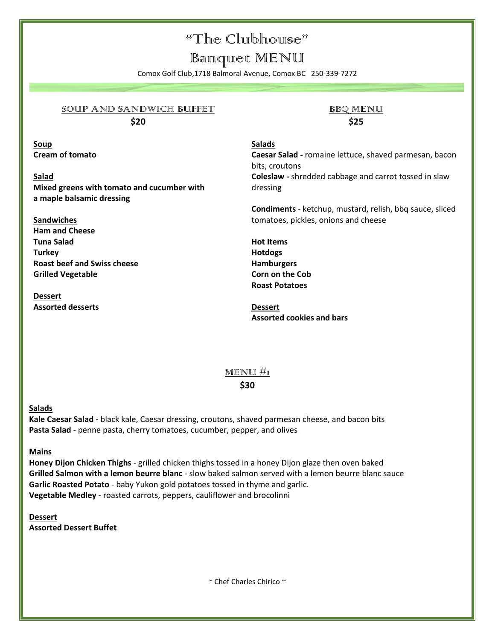### "The Clubhouse"

### Banquet MENU

Comox Golf Club,1718 Balmoral Avenue, Comox BC 250-339-7272

#### SOUP AND SANDWICH BUFFET **\$20**

**Soup Cream of tomato**

**Salad Mixed greens with tomato and cucumber with a maple balsamic dressing**

**Sandwiches Ham and Cheese Tuna Salad Turkey Roast beef and Swiss cheese Grilled Vegetable** 

**Dessert Assorted desserts**

### **BBQ MENU \$25**

#### **Salads**

**Caesar Salad -** romaine lettuce, shaved parmesan, bacon bits, croutons **Coleslaw -** shredded cabbage and carrot tossed in slaw dressing

**Condiments** - ketchup, mustard, relish, bbq sauce, sliced tomatoes, pickles, onions and cheese

**Hot Items Hotdogs Hamburgers Corn on the Cob Roast Potatoes**

**Dessert Assorted cookies and bars**

#### MENU  $\#$ <sup>1</sup>

#### **\$30**

#### **Salads**

**Kale Caesar Salad** - black kale, Caesar dressing, croutons, shaved parmesan cheese, and bacon bits **Pasta Salad** - penne pasta, cherry tomatoes, cucumber, pepper, and olives

#### **Mains**

**Honey Dijon Chicken Thighs** - grilled chicken thighs tossed in a honey Dijon glaze then oven baked **Grilled Salmon with a lemon beurre blanc** - slow baked salmon served with a lemon beurre blanc sauce **Garlic Roasted Potato** - baby Yukon gold potatoes tossed in thyme and garlic. **Vegetable Medley** - roasted carrots, peppers, cauliflower and brocolinni

**Dessert Assorted Dessert Buffet**

~ Chef Charles Chirico ~